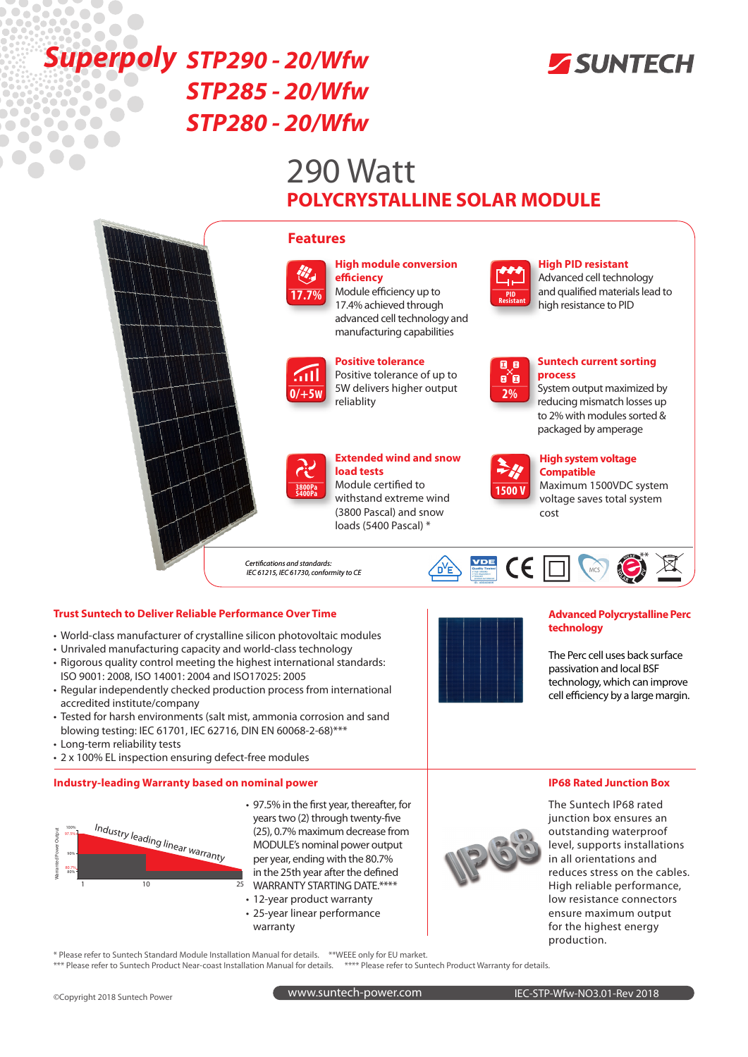

## Superpoly STP290 - 20/Wfw *STP285 - 20/Wfw*  $\bullet$ *STP280 - 20/Wfw*  $\sqrt{2}$  $\bullet\bullet\bullet$

 $\bullet$ 

 $\mathbf{C}$ 

# 290 Watt **POLYCRYSTALLINE SOLAR MODULE**



## **Trust Suntech to Deliver Reliable Performance Over Time Advanced Polycrystalline Perc Advanced Polycrystalline Perc**

- World-class manufacturer of crystalline silicon photovoltaic modules
- Unrivaled manufacturing capacity and world-class technology
- Rigorous quality control meeting the highest international standards: ISO 9001: 2008, ISO 14001: 2004 and ISO17025: 2005
- Regular independently checked production process from international accredited institute/company
- Tested for harsh environments (salt mist, ammonia corrosion and sand blowing testing: IEC 61701, IEC 62716, DIN EN 60068-2-68)\*\*\*
- Long-term reliability tests
- 2 x 100% EL inspection ensuring defect-free modules

## **Industry-leading Warranty based on nominal power**



- 97.5% in the first year, thereafter, for years two (2) through twenty-five (25), 0.7% maximum decrease from MODULE's nominal power output per year, ending with the 80.7% in the 25th year after the defined WARRANTY STARTING DATE.\*\*\*\*
- 12-year product warranty
- 25-year linear performance
- warranty



## **technology**

The Perc cell uses back surface passivation and local BSF technology, which can improve cell efficiency by a large margin.

## **IP68 Rated Junction Box**



The Suntech IP68 rated junction box ensures an outstanding waterproof level, supports installations in all orientations and reduces stress on the cables. High reliable performance, low resistance connectors ensure maximum output for the highest energy production.

\* Please refer to Suntech Standard Module Installation Manual for details. \*\*WEEE only for EU market. \*\*\* Please refer to Suntech Product Near-coast Installation Manual for details.